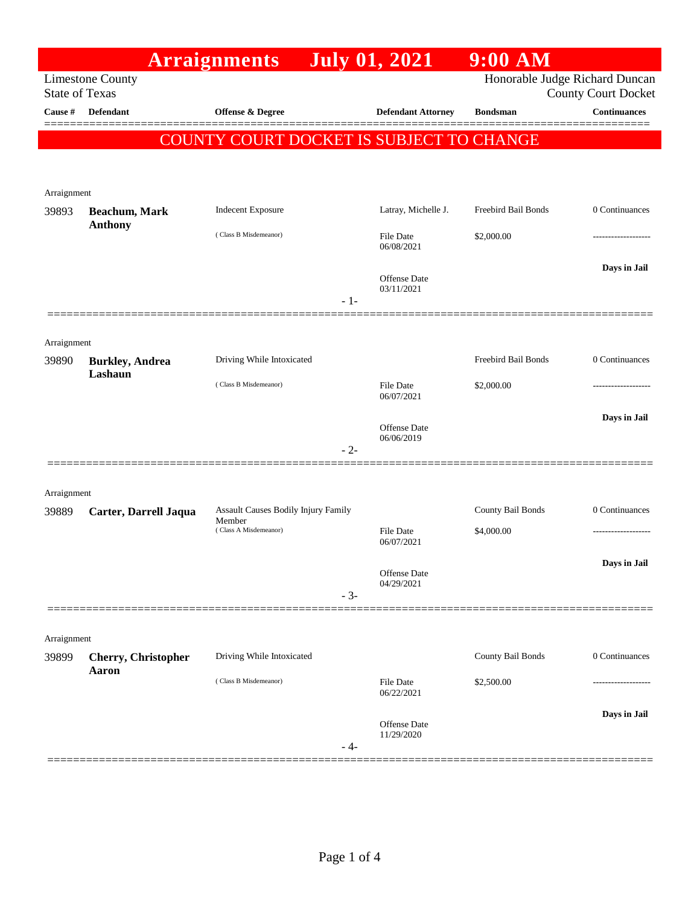|                                                  |                                   | <b>Arraignments</b>                           |       | <b>July 01, 2021</b>           | $9:00$ AM                                                    |                     |
|--------------------------------------------------|-----------------------------------|-----------------------------------------------|-------|--------------------------------|--------------------------------------------------------------|---------------------|
| <b>Limestone County</b><br><b>State of Texas</b> |                                   |                                               |       |                                | Honorable Judge Richard Duncan<br><b>County Court Docket</b> |                     |
| Cause #                                          | <b>Defendant</b>                  | <b>Offense &amp; Degree</b>                   |       | <b>Defendant Attorney</b>      | <b>Bondsman</b>                                              | <b>Continuances</b> |
|                                                  |                                   | COUNTY COURT DOCKET IS SUBJECT TO CHANGE      |       |                                |                                                              |                     |
|                                                  |                                   |                                               |       |                                |                                                              |                     |
|                                                  |                                   |                                               |       |                                |                                                              |                     |
| Arraignment<br>39893                             | Beachum, Mark                     | <b>Indecent Exposure</b>                      |       | Latray, Michelle J.            | Freebird Bail Bonds                                          | 0 Continuances      |
|                                                  | <b>Anthony</b>                    | (Class B Misdemeanor)                         |       | File Date                      | \$2,000.00                                                   |                     |
|                                                  |                                   |                                               |       | 06/08/2021                     |                                                              |                     |
|                                                  |                                   |                                               |       | Offense Date                   |                                                              | Days in Jail        |
|                                                  |                                   |                                               | $-1-$ | 03/11/2021                     |                                                              |                     |
|                                                  |                                   |                                               |       |                                |                                                              |                     |
| Arraignment                                      |                                   |                                               |       |                                |                                                              |                     |
| 39890                                            | <b>Burkley, Andrea</b><br>Lashaun | Driving While Intoxicated                     |       |                                | Freebird Bail Bonds                                          | 0 Continuances      |
|                                                  |                                   | (Class B Misdemeanor)                         |       | <b>File Date</b><br>06/07/2021 | \$2,000.00                                                   |                     |
|                                                  |                                   |                                               |       |                                |                                                              | Days in Jail        |
|                                                  |                                   |                                               | $-2-$ | Offense Date<br>06/06/2019     |                                                              |                     |
|                                                  |                                   |                                               |       |                                |                                                              |                     |
| Arraignment                                      |                                   |                                               |       |                                |                                                              |                     |
| 39889                                            | Carter, Darrell Jaqua             | Assault Causes Bodily Injury Family<br>Member |       |                                | County Bail Bonds                                            | 0 Continuances      |
|                                                  |                                   | (Class A Misdemeanor)                         |       | <b>File Date</b><br>06/07/2021 | \$4,000.00                                                   |                     |
|                                                  |                                   |                                               |       |                                |                                                              | Days in Jail        |
|                                                  |                                   |                                               |       | Offense Date<br>04/29/2021     |                                                              |                     |
|                                                  |                                   |                                               | $-3-$ |                                |                                                              |                     |
|                                                  |                                   |                                               |       |                                |                                                              |                     |
| Arraignment<br>39899                             | <b>Cherry, Christopher</b>        | Driving While Intoxicated                     |       |                                | County Bail Bonds                                            | 0 Continuances      |
|                                                  | Aaron                             | (Class B Misdemeanor)                         |       | File Date                      | \$2,500.00                                                   |                     |
|                                                  |                                   |                                               |       | 06/22/2021                     |                                                              |                     |
|                                                  |                                   |                                               |       | Offense Date                   |                                                              | Days in Jail        |
|                                                  |                                   |                                               | - 4-  | 11/29/2020                     |                                                              |                     |
|                                                  |                                   |                                               |       |                                |                                                              |                     |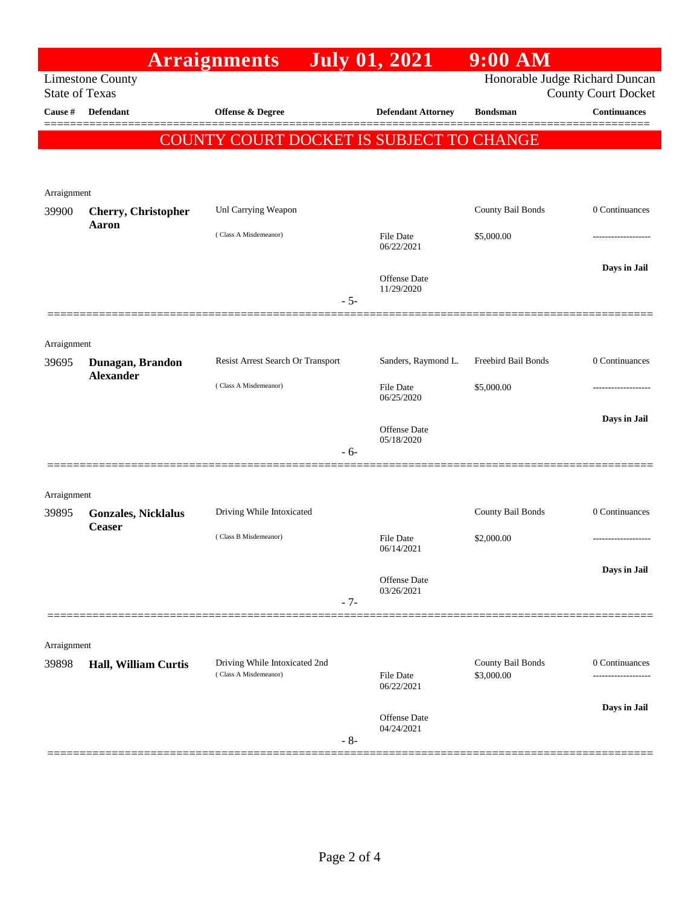|                       |                                             | <b>Arraignments</b>                                    |       | <b>July 01, 2021</b>              | $9:00$ AM                                                    |                     |
|-----------------------|---------------------------------------------|--------------------------------------------------------|-------|-----------------------------------|--------------------------------------------------------------|---------------------|
| <b>State of Texas</b> | <b>Limestone County</b>                     |                                                        |       |                                   | Honorable Judge Richard Duncan<br><b>County Court Docket</b> |                     |
| Cause #               | <b>Defendant</b>                            | <b>Offense &amp; Degree</b>                            |       | <b>Defendant Attorney</b>         | <b>Bondsman</b>                                              | <b>Continuances</b> |
|                       |                                             | COUNTY COURT DOCKET IS SUBJECT TO CHANGE               |       |                                   |                                                              |                     |
|                       |                                             |                                                        |       |                                   |                                                              |                     |
|                       |                                             |                                                        |       |                                   |                                                              |                     |
| Arraignment           |                                             | Unl Carrying Weapon                                    |       |                                   | County Bail Bonds                                            | 0 Continuances      |
| 39900                 | <b>Cherry, Christopher</b><br>Aaron         |                                                        |       |                                   |                                                              |                     |
|                       |                                             | (Class A Misdemeanor)                                  |       | File Date<br>06/22/2021           | \$5,000.00                                                   | -----------------   |
|                       |                                             |                                                        |       |                                   |                                                              | Days in Jail        |
|                       |                                             |                                                        |       | <b>Offense</b> Date<br>11/29/2020 |                                                              |                     |
|                       |                                             |                                                        | $-5-$ |                                   |                                                              |                     |
|                       |                                             |                                                        |       |                                   |                                                              |                     |
| Arraignment           |                                             |                                                        |       |                                   |                                                              |                     |
| 39695                 | Dunagan, Brandon<br><b>Alexander</b>        | Resist Arrest Search Or Transport                      |       | Sanders, Raymond L.               | Freebird Bail Bonds                                          | 0 Continuances      |
|                       |                                             | (Class A Misdemeanor)                                  |       | File Date<br>06/25/2020           | \$5,000.00                                                   |                     |
|                       |                                             |                                                        |       |                                   |                                                              | Days in Jail        |
|                       |                                             |                                                        |       | <b>Offense</b> Date<br>05/18/2020 |                                                              |                     |
|                       |                                             |                                                        | $-6-$ |                                   |                                                              |                     |
|                       |                                             |                                                        |       |                                   |                                                              |                     |
| Arraignment           |                                             |                                                        |       |                                   |                                                              |                     |
| 39895                 | <b>Gonzales, Nicklalus</b><br><b>Ceaser</b> | Driving While Intoxicated                              |       |                                   | County Bail Bonds                                            | 0 Continuances      |
|                       |                                             | (Class B Misdemeanor)                                  |       | File Date<br>06/14/2021           | \$2,000.00                                                   | .                   |
|                       |                                             |                                                        |       |                                   |                                                              | Days in Jail        |
|                       |                                             |                                                        |       | <b>Offense</b> Date<br>03/26/2021 |                                                              |                     |
|                       |                                             |                                                        | $-7-$ |                                   |                                                              |                     |
|                       |                                             |                                                        |       |                                   |                                                              |                     |
| Arraignment           |                                             |                                                        |       |                                   |                                                              |                     |
| 39898                 | <b>Hall, William Curtis</b>                 | Driving While Intoxicated 2nd<br>(Class A Misdemeanor) |       | File Date                         | County Bail Bonds<br>\$3,000.00                              | 0 Continuances      |
|                       |                                             |                                                        |       | 06/22/2021                        |                                                              |                     |
|                       |                                             |                                                        |       | Offense Date                      |                                                              | Days in Jail        |
|                       |                                             |                                                        |       | 04/24/2021                        |                                                              |                     |
|                       |                                             |                                                        | $-8-$ |                                   |                                                              |                     |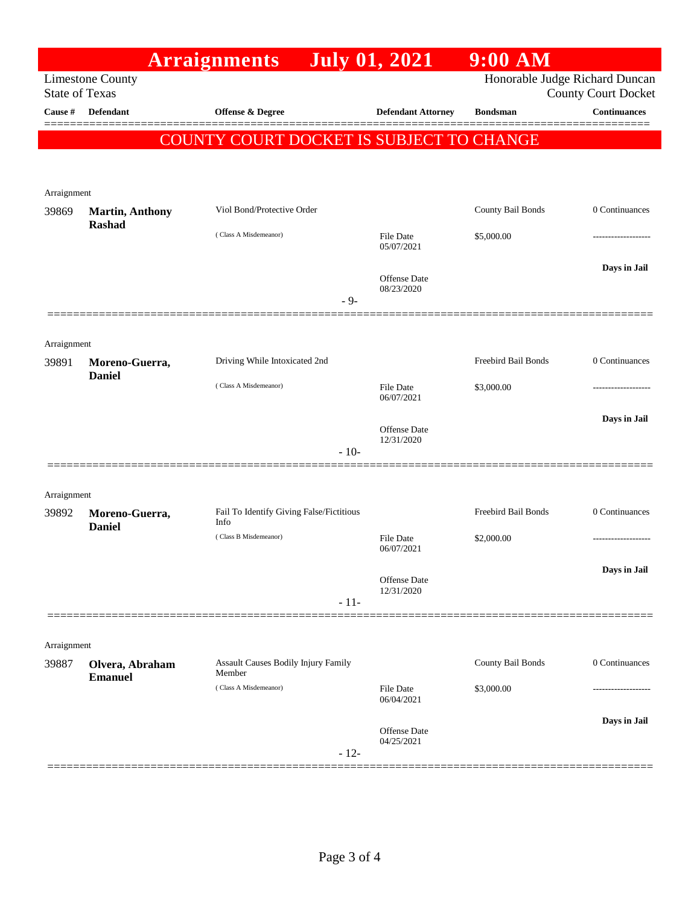|                       |                                  | <b>Arraignments</b>                      |        | <b>July 01, 2021</b>       | $9:00$ AM                      |                            |
|-----------------------|----------------------------------|------------------------------------------|--------|----------------------------|--------------------------------|----------------------------|
|                       | <b>Limestone County</b>          |                                          |        |                            | Honorable Judge Richard Duncan |                            |
| <b>State of Texas</b> |                                  |                                          |        |                            |                                | <b>County Court Docket</b> |
| Cause #               | <b>Defendant</b>                 | <b>Offense &amp; Degree</b>              |        | <b>Defendant Attorney</b>  | <b>Bondsman</b>                | <b>Continuances</b>        |
|                       |                                  | COUNTY COURT DOCKET IS SUBJECT TO CHANGE |        |                            |                                |                            |
|                       |                                  |                                          |        |                            |                                |                            |
|                       |                                  |                                          |        |                            |                                |                            |
| Arraignment           |                                  | Viol Bond/Protective Order               |        |                            | County Bail Bonds              | 0 Continuances             |
| 39869                 | <b>Martin, Anthony</b><br>Rashad |                                          |        |                            |                                |                            |
|                       |                                  | (Class A Misdemeanor)                    |        | File Date<br>05/07/2021    | \$5,000.00                     |                            |
|                       |                                  |                                          |        |                            |                                | Days in Jail               |
|                       |                                  |                                          |        | Offense Date<br>08/23/2020 |                                |                            |
|                       |                                  |                                          | $-9-$  |                            |                                |                            |
|                       |                                  |                                          |        |                            |                                |                            |
| Arraignment           |                                  |                                          |        |                            |                                |                            |
| 39891                 | Moreno-Guerra,                   | Driving While Intoxicated 2nd            |        |                            | Freebird Bail Bonds            | 0 Continuances             |
|                       | <b>Daniel</b>                    | (Class A Misdemeanor)                    |        | File Date                  | \$3,000.00                     |                            |
|                       |                                  |                                          |        | 06/07/2021                 |                                |                            |
|                       |                                  |                                          |        | <b>Offense</b> Date        |                                | Days in Jail               |
|                       |                                  |                                          |        | 12/31/2020                 |                                |                            |
|                       |                                  |                                          | $-10-$ |                            |                                |                            |
|                       |                                  |                                          |        |                            |                                |                            |
| Arraignment           |                                  | Fail To Identify Giving False/Fictitious |        |                            | Freebird Bail Bonds            | 0 Continuances             |
| 39892                 | Moreno-Guerra,<br><b>Daniel</b>  | Info                                     |        |                            |                                |                            |
|                       |                                  | (Class B Misdemeanor)                    |        | File Date<br>06/07/2021    | \$2,000.00                     |                            |
|                       |                                  |                                          |        |                            |                                | Days in Jail               |
|                       |                                  |                                          |        | Offense Date<br>12/31/2020 |                                |                            |
|                       |                                  |                                          | $-11-$ |                            |                                |                            |
|                       |                                  |                                          |        |                            |                                |                            |
| Arraignment           |                                  |                                          |        |                            |                                |                            |
| 39887                 | Olvera, Abraham                  | Assault Causes Bodily Injury Family      |        |                            | County Bail Bonds              | 0 Continuances             |
|                       | <b>Emanuel</b>                   | Member<br>(Class A Misdemeanor)          |        | <b>File Date</b>           | \$3,000.00                     |                            |
|                       |                                  |                                          |        | 06/04/2021                 |                                |                            |
|                       |                                  |                                          |        | Offense Date               |                                | Days in Jail               |
|                       |                                  |                                          |        | 04/25/2021                 |                                |                            |
|                       |                                  |                                          | $-12-$ |                            |                                |                            |